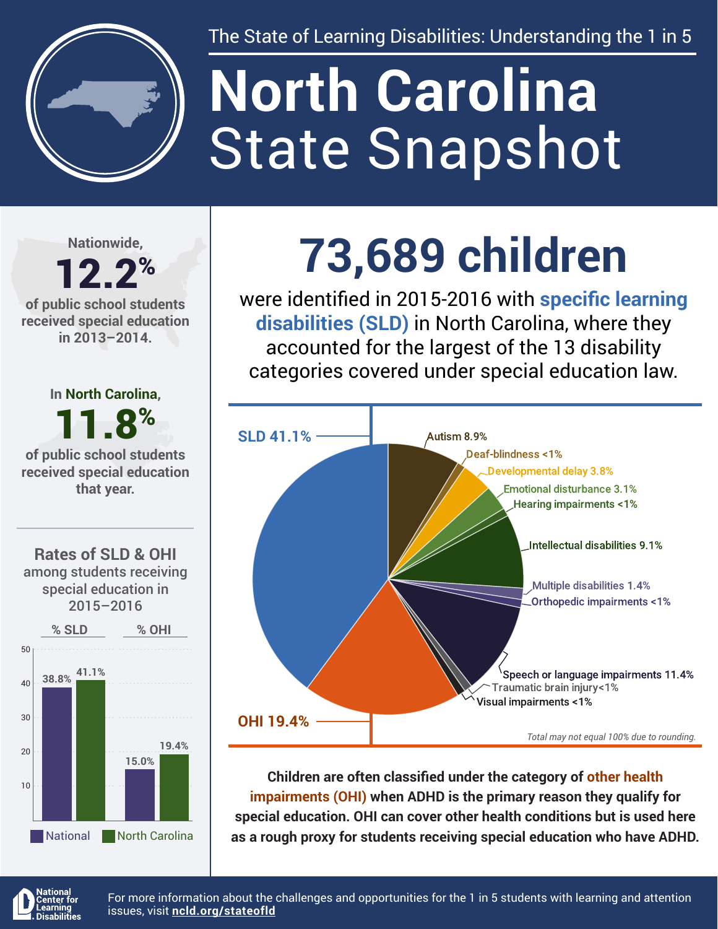

The State of Learning Disabilities: Understanding the 1 in 5

# State Snapshot **North Carolina**

**Nationwide,**

#### 12.2% **of public school students received special education in 2013–2014.**

**In North Carolina,** 11.8% **of public school students** 

**received special education that year.**





## **73,689 children**

were identified in 2015-2016 with **specific learning disabilities (SLD)** in North Carolina, where they accounted for the largest of the 13 disability categories covered under special education law.



**Children are often classified under the category of other health impairments (OHI) when ADHD is the primary reason they qualify for special education. OHI can cover other health conditions but is used here as a rough proxy for students receiving special education who have ADHD.**



For more information about the challenges and opportunities for the 1 in 5 students with learning and attention issues, visit **[ncld.org/stateofld](http://ncld.org/stateofld)**